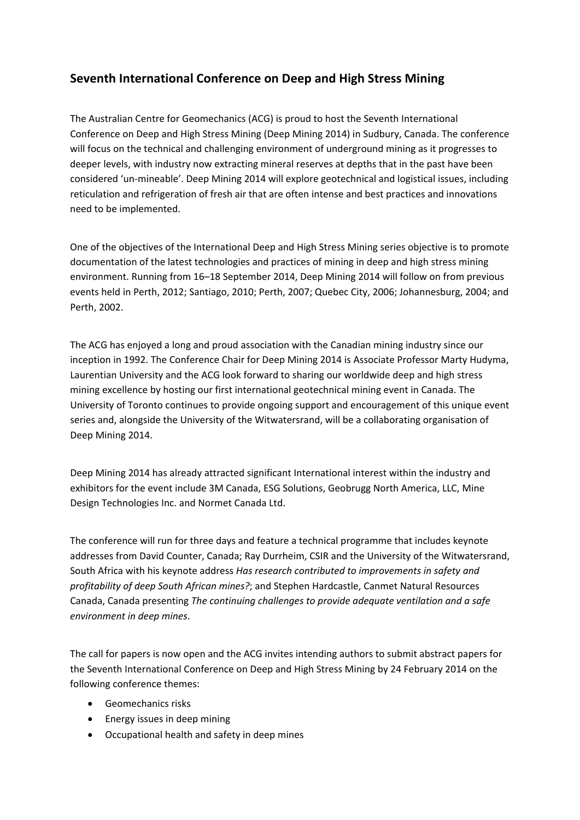## **Seventh International Conference on Deep and High Stress Mining**

The Australian Centre for Geomechanics (ACG) is proud to host the Seventh International Conference on Deep and High Stress Mining (Deep Mining 2014) in Sudbury, Canada. The conference will focus on the technical and challenging environment of underground mining as it progresses to deeper levels, with industry now extracting mineral reserves at depths that in the past have been considered 'un‐mineable'. Deep Mining 2014 will explore geotechnical and logistical issues, including reticulation and refrigeration of fresh air that are often intense and best practices and innovations need to be implemented.

One of the objectives of the International Deep and High Stress Mining series objective is to promote documentation of the latest technologies and practices of mining in deep and high stress mining environment. Running from 16–18 September 2014, Deep Mining 2014 will follow on from previous events held in Perth, 2012; Santiago, 2010; Perth, 2007; Quebec City, 2006; Johannesburg, 2004; and Perth, 2002.

The ACG has enjoyed a long and proud association with the Canadian mining industry since our inception in 1992. The Conference Chair for Deep Mining 2014 is Associate Professor Marty Hudyma, Laurentian University and the ACG look forward to sharing our worldwide deep and high stress mining excellence by hosting our first international geotechnical mining event in Canada. The University of Toronto continues to provide ongoing support and encouragement of this unique event series and, alongside the University of the Witwatersrand, will be a collaborating organisation of Deep Mining 2014.

Deep Mining 2014 has already attracted significant International interest within the industry and exhibitors for the event include 3M Canada, ESG Solutions, Geobrugg North America, LLC, Mine Design Technologies Inc. and Normet Canada Ltd.

The conference will run for three days and feature a technical programme that includes keynote addresses from David Counter, Canada; Ray Durrheim, CSIR and the University of the Witwatersrand, South Africa with his keynote address *Has research contributed to improvements in safety and profitability of deep South African mines?*; and Stephen Hardcastle, Canmet Natural Resources Canada, Canada presenting *The continuing challenges to provide adequate ventilation and a safe environment in deep mines*.

The call for papers is now open and the ACG invites intending authors to submit abstract papers for the Seventh International Conference on Deep and High Stress Mining by 24 February 2014 on the following conference themes:

- **Geomechanics risks**
- Energy issues in deep mining
- Occupational health and safety in deep mines